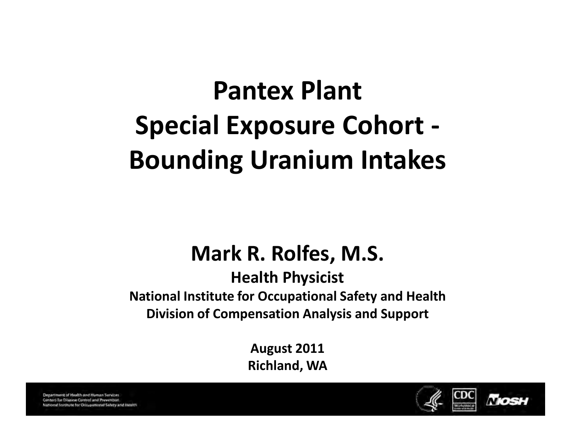# Pantex Plant Special Exposure Cohort - Bounding Uranium Intakes

#### Mark R. Rolfes, M.S.

Health Physicist National Institute for Occupational Safety and Health Division of Compensation Analysis and Support

> August 2011 Richland, WA

Department of Health and Human Services Centers for Disease Control and Prevention National Institute for Occupational Safety and Israilty

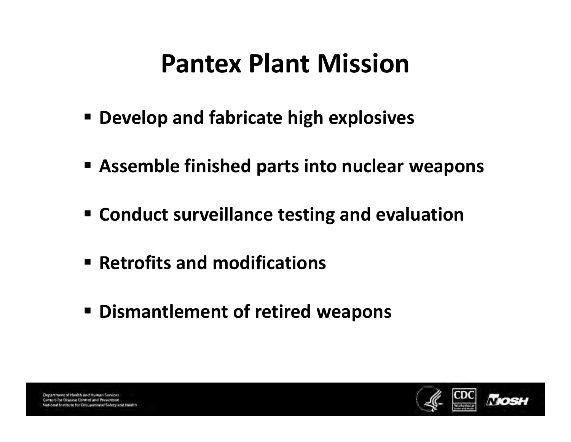# Pantex Plant Mission

- Develop and fabricate high explosives
- Assemble finished parts into nuclear weapons
- **Example 2 rand conduct surveillance testing and evaluation**
- Retrofits and modifications
- Dismantlement of retired weapons

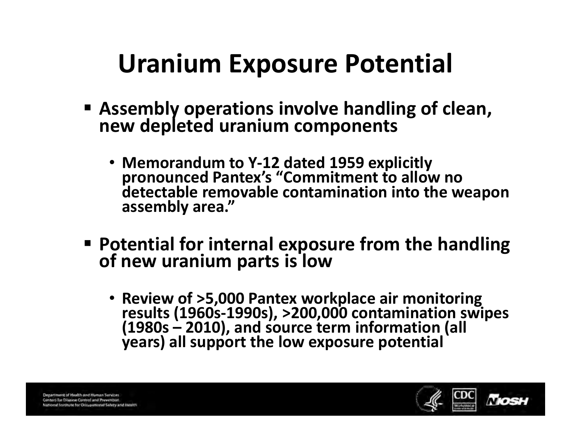# Uranium Exposure Potential

- Assembly operations involve handling of clean, new depleted uranium components
	- Memorandum to Y-12 dated 1959 explicitly pronounced Pantex's "Commitment to allow no detectable removable contamination into the weapon assembly area."
- Potential for internal exposure from the handling of new uranium parts is low
	- Review of >5,000 Pantex workplace air monitoring results (1960s-1990s), >200,000 contamination swipes (1980s – 2010), and source term information (all years) all support the low exposure potential

Department of Health and Human Services **Centers for Disease Control and Prevention** ral Institute for Docupational Salety and Health

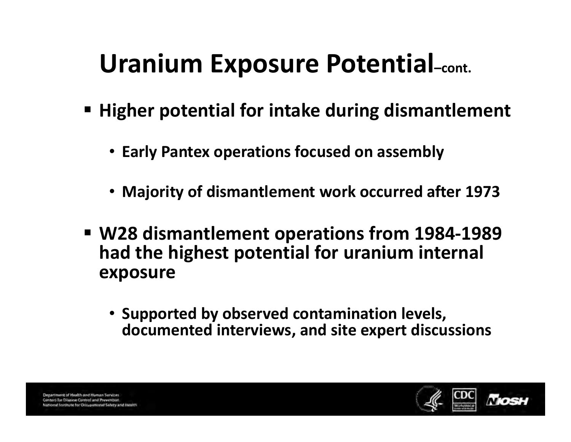### Uranium Exposure Potential–cont.

- Higher potential for intake during dismantlement
	- Early Pantex operations focused on assembly
	- Majority of dismantlement work occurred after 1973
- W28 dismantlement operations from 1984 -1989 dismantlement from had the highest potential for uranium internal exposure
	- Supported by observed contamination levels, documented interviews, and site expert discussions

Department of Highlith and Human Services enters for Disease Control and Prevention

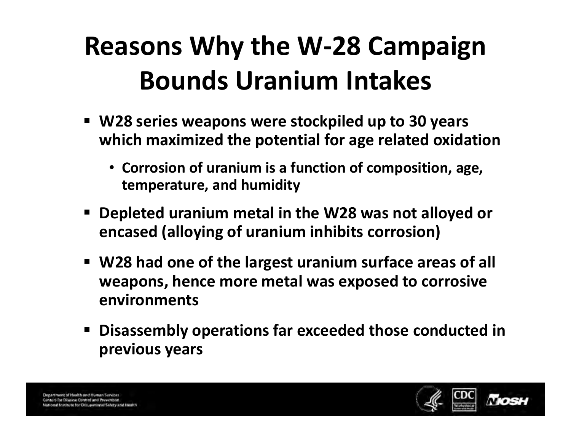# Reasons Why the W-28 Campaign Bounds Uranium Intakes

- W28 series weapons were stockpiled up to 30 years which maximized the potential for age related oxidation
	- Corrosion of uranium is a function of composition, age, temperature, and humidity
- " Depleted uranium metal in the W28 was not alloyed or encased (alloying of uranium inhibits corrosion)
- W28 had one of the largest uranium surface areas of all weapons, hence more metal was exposed to corrosive environments
- Disassembly operations far exceeded those conducted in previous years

Department of Health and Human Services enters for Disease Control and Prevention at locitizte for Decupational Salety and Health

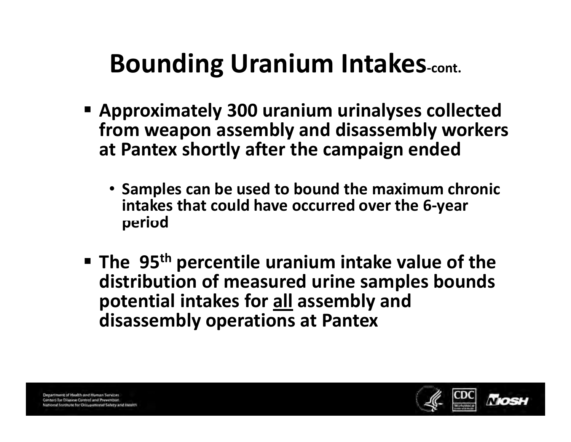# **Bounding Uranium Intakes-cont.**

- Approximately 300 uranium urinalyses collected from weapon assembly and disassembly workers at Pantex shortly after the campaign ended
	- period • Samples can be used to bound the maximum chronic intakes that could have occurred over the 6-year
- **The 95<sup>th</sup> percentile uranium intake value of the** distribution of measured urine samples bounds potential intakes for all assembly and disassembly operations at Pantex

Department of Health and Human Services Centers for Disease Control and Prevention ral Institute for Docupational Safety and Healt

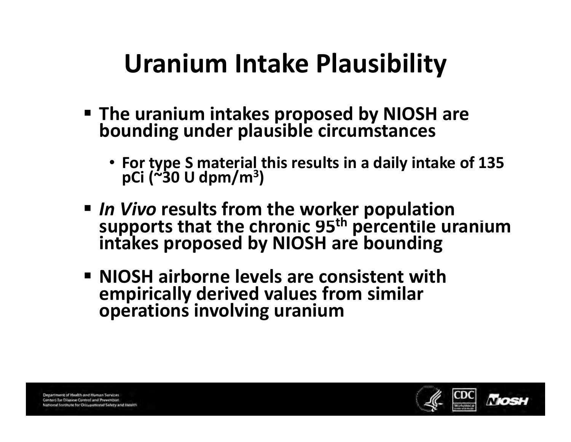# Uranium Intake Plausibility

- The uranium intakes proposed by NIOSH are bounding under plausible circumstances
	- For type S material this results in a daily intake of 135<br>pCi (~30 U dpm/m<sup>3</sup>)
- supports that the chronic 95<sup>th</sup> percentile uranium In Vivo results from the worker population<br>supports that the chronic 95<sup>th</sup> percentile uranium<br>intakes proposed by NIOSH are bounding
- NIOSH airborne levels are consistent with empirically derived values from similar operations involving uranium

Department of Health and Human Services Centers for Disease Control and Prevention mal leasticate for Decugational Safety and Health